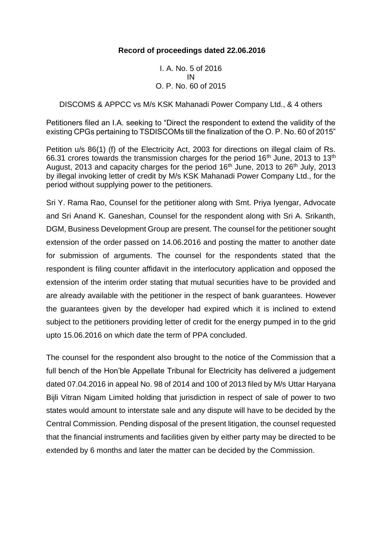## **Record of proceedings dated 22.06.2016**

I. A. No. 5 of 2016 IN O. P. No. 60 of 2015

#### DISCOMS & APPCC vs M/s KSK Mahanadi Power Company Ltd., & 4 others

Petitioners filed an I.A. seeking to "Direct the respondent to extend the validity of the existing CPGs pertaining to TSDISCOMs till the finalization of the O. P. No. 60 of 2015"

Petition u/s 86(1) (f) of the Electricity Act, 2003 for directions on illegal claim of Rs. 66.31 crores towards the transmission charges for the period 16<sup>th</sup> June, 2013 to 13<sup>th</sup> August, 2013 and capacity charges for the period  $16<sup>th</sup>$  June, 2013 to 26<sup>th</sup> July, 2013 by illegal invoking letter of credit by M/s KSK Mahanadi Power Company Ltd., for the period without supplying power to the petitioners.

Sri Y. Rama Rao, Counsel for the petitioner along with Smt. Priya Iyengar, Advocate and Sri Anand K. Ganeshan, Counsel for the respondent along with Sri A. Srikanth, DGM, Business Development Group are present. The counsel for the petitioner sought extension of the order passed on 14.06.2016 and posting the matter to another date for submission of arguments. The counsel for the respondents stated that the respondent is filing counter affidavit in the interlocutory application and opposed the extension of the interim order stating that mutual securities have to be provided and are already available with the petitioner in the respect of bank guarantees. However the guarantees given by the developer had expired which it is inclined to extend subject to the petitioners providing letter of credit for the energy pumped in to the grid upto 15.06.2016 on which date the term of PPA concluded.

The counsel for the respondent also brought to the notice of the Commission that a full bench of the Hon'ble Appellate Tribunal for Electricity has delivered a judgement dated 07.04.2016 in appeal No. 98 of 2014 and 100 of 2013 filed by M/s Uttar Haryana Bijli Vitran Nigam Limited holding that jurisdiction in respect of sale of power to two states would amount to interstate sale and any dispute will have to be decided by the Central Commission. Pending disposal of the present litigation, the counsel requested that the financial instruments and facilities given by either party may be directed to be extended by 6 months and later the matter can be decided by the Commission.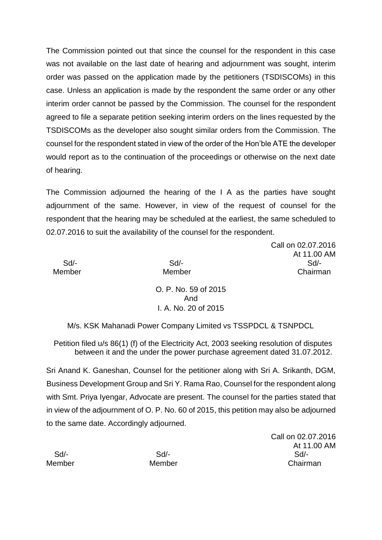The Commission pointed out that since the counsel for the respondent in this case was not available on the last date of hearing and adjournment was sought, interim order was passed on the application made by the petitioners (TSDISCOMs) in this case. Unless an application is made by the respondent the same order or any other interim order cannot be passed by the Commission. The counsel for the respondent agreed to file a separate petition seeking interim orders on the lines requested by the TSDISCOMs as the developer also sought similar orders from the Commission. The counsel for the respondent stated in view of the order of the Hon'ble ATE the developer would report as to the continuation of the proceedings or otherwise on the next date of hearing.

The Commission adjourned the hearing of the I A as the parties have sought adjournment of the same. However, in view of the request of counsel for the respondent that the hearing may be scheduled at the earliest, the same scheduled to 02.07.2016 to suit the availability of the counsel for the respondent.

Call on 02.07.2016 At 11.00 AM Sd/- Sd/- Sd/- Member Member Chairman

> O. P. No. 59 of 2015 And I. A. No. 20 of 2015

M/s. KSK Mahanadi Power Company Limited vs TSSPDCL & TSNPDCL

Petition filed u/s 86(1) (f) of the Electricity Act, 2003 seeking resolution of disputes between it and the under the power purchase agreement dated 31.07.2012.

Sri Anand K. Ganeshan, Counsel for the petitioner along with Sri A. Srikanth, DGM, Business Development Group and Sri Y. Rama Rao, Counsel for the respondent along with Smt. Priya Iyengar, Advocate are present. The counsel for the parties stated that in view of the adjournment of O. P. No. 60 of 2015, this petition may also be adjourned to the same date. Accordingly adjourned.

Call on 02.07.2016 At 11.00 AM Sd/- Sd/- Sd/- Member Member Chairman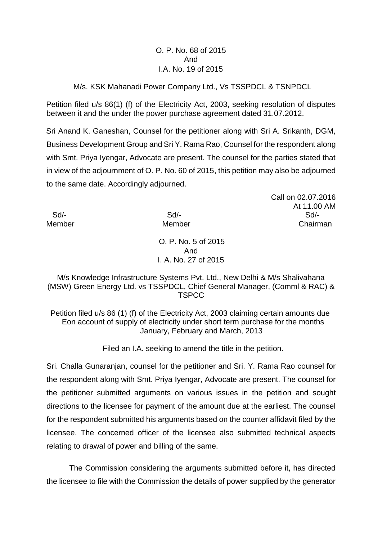### O. P. No. 68 of 2015 And I.A. No. 19 of 2015

#### M/s. KSK Mahanadi Power Company Ltd., Vs TSSPDCL & TSNPDCL

Petition filed u/s 86(1) (f) of the Electricity Act, 2003, seeking resolution of disputes between it and the under the power purchase agreement dated 31.07.2012.

Sri Anand K. Ganeshan, Counsel for the petitioner along with Sri A. Srikanth, DGM, Business Development Group and Sri Y. Rama Rao, Counsel for the respondent along with Smt. Priya Iyengar, Advocate are present. The counsel for the parties stated that in view of the adjournment of O. P. No. 60 of 2015, this petition may also be adjourned to the same date. Accordingly adjourned.

Call on 02.07.2016 At 11.00 AM Sd/- Sd/- Sd/- Member **Member** Member Chairman

> O. P. No. 5 of 2015 And I. A. No. 27 of 2015

#### M/s Knowledge Infrastructure Systems Pvt. Ltd., New Delhi & M/s Shalivahana (MSW) Green Energy Ltd. vs TSSPDCL, Chief General Manager, (Comml & RAC) & TSPCC

Petition filed u/s 86 (1) (f) of the Electricity Act, 2003 claiming certain amounts due Eon account of supply of electricity under short term purchase for the months January, February and March, 2013

Filed an I.A. seeking to amend the title in the petition.

Sri. Challa Gunaranjan, counsel for the petitioner and Sri. Y. Rama Rao counsel for the respondent along with Smt. Priya Iyengar, Advocate are present. The counsel for the petitioner submitted arguments on various issues in the petition and sought directions to the licensee for payment of the amount due at the earliest. The counsel for the respondent submitted his arguments based on the counter affidavit filed by the licensee. The concerned officer of the licensee also submitted technical aspects relating to drawal of power and billing of the same.

The Commission considering the arguments submitted before it, has directed the licensee to file with the Commission the details of power supplied by the generator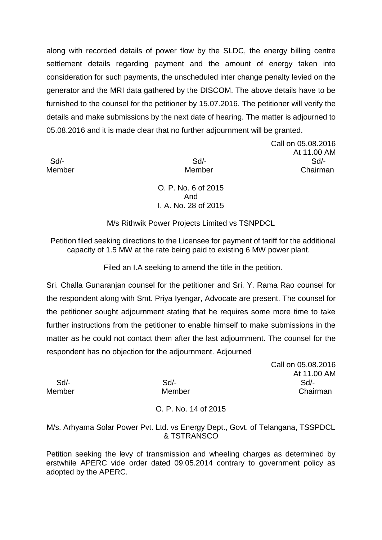along with recorded details of power flow by the SLDC, the energy billing centre settlement details regarding payment and the amount of energy taken into consideration for such payments, the unscheduled inter change penalty levied on the generator and the MRI data gathered by the DISCOM. The above details have to be furnished to the counsel for the petitioner by 15.07.2016. The petitioner will verify the details and make submissions by the next date of hearing. The matter is adjourned to 05.08.2016 and it is made clear that no further adjournment will be granted.

Call on 05.08.2016 At 11.00 AM Sd/- Sd/- Sd/- Member **Member** Chairman

> O. P. No. 6 of 2015 And I. A. No. 28 of 2015

M/s Rithwik Power Projects Limited vs TSNPDCL

Petition filed seeking directions to the Licensee for payment of tariff for the additional capacity of 1.5 MW at the rate being paid to existing 6 MW power plant.

Filed an I.A seeking to amend the title in the petition.

Sri. Challa Gunaranjan counsel for the petitioner and Sri. Y. Rama Rao counsel for the respondent along with Smt. Priya Iyengar, Advocate are present. The counsel for the petitioner sought adjournment stating that he requires some more time to take further instructions from the petitioner to enable himself to make submissions in the matter as he could not contact them after the last adjournment. The counsel for the respondent has no objection for the adjournment. Adjourned

Call on 05.08.2016 At 11.00 AM Sd/- Sd/- Sd/- Member **Member** Member Chairman

# O. P. No. 14 of 2015

M/s. Arhyama Solar Power Pvt. Ltd. vs Energy Dept., Govt. of Telangana, TSSPDCL & TSTRANSCO

Petition seeking the levy of transmission and wheeling charges as determined by erstwhile APERC vide order dated 09.05.2014 contrary to government policy as adopted by the APERC.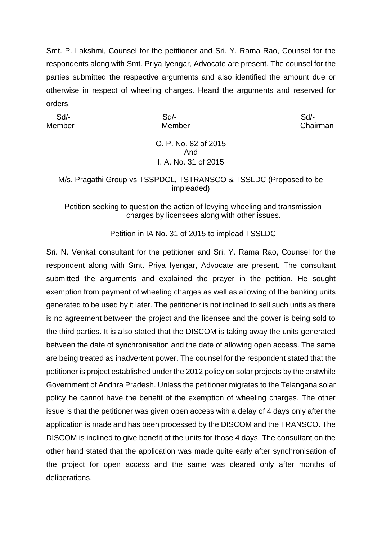Smt. P. Lakshmi, Counsel for the petitioner and Sri. Y. Rama Rao, Counsel for the respondents along with Smt. Priya Iyengar, Advocate are present. The counsel for the parties submitted the respective arguments and also identified the amount due or otherwise in respect of wheeling charges. Heard the arguments and reserved for orders.

Sd/- Sd/- Sd/-

Member Member Chairman

### O. P. No. 82 of 2015 And I. A. No. 31 of 2015

## M/s. Pragathi Group vs TSSPDCL, TSTRANSCO & TSSLDC (Proposed to be impleaded)

## Petition seeking to question the action of levying wheeling and transmission charges by licensees along with other issues.

Petition in IA No. 31 of 2015 to implead TSSLDC

Sri. N. Venkat consultant for the petitioner and Sri. Y. Rama Rao, Counsel for the respondent along with Smt. Priya Iyengar, Advocate are present. The consultant submitted the arguments and explained the prayer in the petition. He sought exemption from payment of wheeling charges as well as allowing of the banking units generated to be used by it later. The petitioner is not inclined to sell such units as there is no agreement between the project and the licensee and the power is being sold to the third parties. It is also stated that the DISCOM is taking away the units generated between the date of synchronisation and the date of allowing open access. The same are being treated as inadvertent power. The counsel for the respondent stated that the petitioner is project established under the 2012 policy on solar projects by the erstwhile Government of Andhra Pradesh. Unless the petitioner migrates to the Telangana solar policy he cannot have the benefit of the exemption of wheeling charges. The other issue is that the petitioner was given open access with a delay of 4 days only after the application is made and has been processed by the DISCOM and the TRANSCO. The DISCOM is inclined to give benefit of the units for those 4 days. The consultant on the other hand stated that the application was made quite early after synchronisation of the project for open access and the same was cleared only after months of deliberations.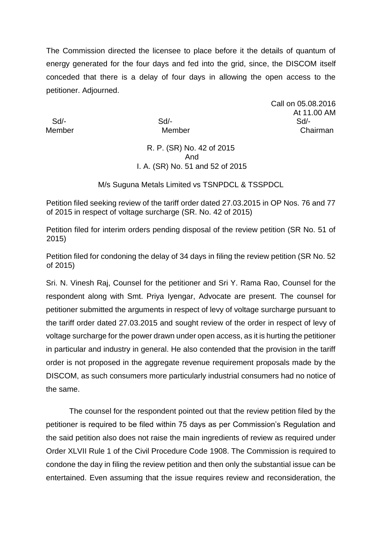The Commission directed the licensee to place before it the details of quantum of energy generated for the four days and fed into the grid, since, the DISCOM itself conceded that there is a delay of four days in allowing the open access to the petitioner. Adjourned.

Call on 05.08.2016 At 11.00 AM Sd/- Sd/- Sd/- Member Member Chairman

# R. P. (SR) No. 42 of 2015 And I. A. (SR) No. 51 and 52 of 2015

M/s Suguna Metals Limited vs TSNPDCL & TSSPDCL

Petition filed seeking review of the tariff order dated 27.03.2015 in OP Nos. 76 and 77 of 2015 in respect of voltage surcharge (SR. No. 42 of 2015)

Petition filed for interim orders pending disposal of the review petition (SR No. 51 of 2015)

Petition filed for condoning the delay of 34 days in filing the review petition (SR No. 52 of 2015)

Sri. N. Vinesh Raj, Counsel for the petitioner and Sri Y. Rama Rao, Counsel for the respondent along with Smt. Priya Iyengar, Advocate are present. The counsel for petitioner submitted the arguments in respect of levy of voltage surcharge pursuant to the tariff order dated 27.03.2015 and sought review of the order in respect of levy of voltage surcharge for the power drawn under open access, as it is hurting the petitioner in particular and industry in general. He also contended that the provision in the tariff order is not proposed in the aggregate revenue requirement proposals made by the DISCOM, as such consumers more particularly industrial consumers had no notice of the same.

The counsel for the respondent pointed out that the review petition filed by the petitioner is required to be filed within 75 days as per Commission's Regulation and the said petition also does not raise the main ingredients of review as required under Order XLVII Rule 1 of the Civil Procedure Code 1908. The Commission is required to condone the day in filing the review petition and then only the substantial issue can be entertained. Even assuming that the issue requires review and reconsideration, the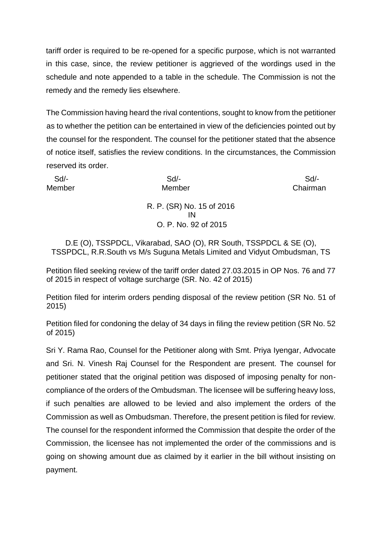tariff order is required to be re-opened for a specific purpose, which is not warranted in this case, since, the review petitioner is aggrieved of the wordings used in the schedule and note appended to a table in the schedule. The Commission is not the remedy and the remedy lies elsewhere.

The Commission having heard the rival contentions, sought to know from the petitioner as to whether the petition can be entertained in view of the deficiencies pointed out by the counsel for the respondent. The counsel for the petitioner stated that the absence of notice itself, satisfies the review conditions. In the circumstances, the Commission reserved its order.

| Sd     | $Sd$ -                          | Sd       |
|--------|---------------------------------|----------|
| Member | Member                          | Chairman |
|        | R. P. (SR) No. 15 of 2016<br>IN |          |
|        | O. P. No. 92 of 2015            |          |
|        |                                 |          |

D.E (O), TSSPDCL, Vikarabad, SAO (O), RR South, TSSPDCL & SE (O), TSSPDCL, R.R.South vs M/s Suguna Metals Limited and Vidyut Ombudsman, TS

Petition filed seeking review of the tariff order dated 27.03.2015 in OP Nos. 76 and 77 of 2015 in respect of voltage surcharge (SR. No. 42 of 2015)

Petition filed for interim orders pending disposal of the review petition (SR No. 51 of 2015)

Petition filed for condoning the delay of 34 days in filing the review petition (SR No. 52 of 2015)

Sri Y. Rama Rao, Counsel for the Petitioner along with Smt. Priya Iyengar, Advocate and Sri. N. Vinesh Raj Counsel for the Respondent are present. The counsel for petitioner stated that the original petition was disposed of imposing penalty for noncompliance of the orders of the Ombudsman. The licensee will be suffering heavy loss, if such penalties are allowed to be levied and also implement the orders of the Commission as well as Ombudsman. Therefore, the present petition is filed for review. The counsel for the respondent informed the Commission that despite the order of the Commission, the licensee has not implemented the order of the commissions and is going on showing amount due as claimed by it earlier in the bill without insisting on payment.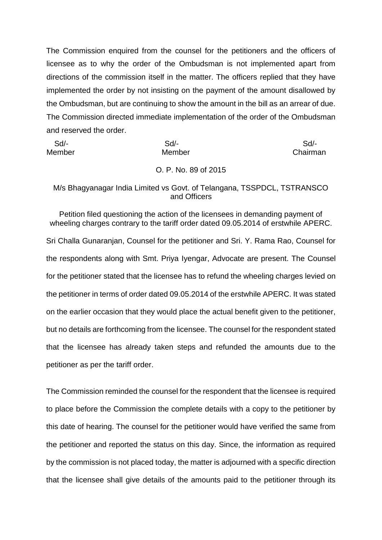The Commission enquired from the counsel for the petitioners and the officers of licensee as to why the order of the Ombudsman is not implemented apart from directions of the commission itself in the matter. The officers replied that they have implemented the order by not insisting on the payment of the amount disallowed by the Ombudsman, but are continuing to show the amount in the bill as an arrear of due. The Commission directed immediate implementation of the order of the Ombudsman and reserved the order.

| Sd/-   | $Sd$ -               | Sd       |
|--------|----------------------|----------|
| Member | Member               | Chairman |
|        | O. P. No. 89 of 2015 |          |

### M/s Bhagyanagar India Limited vs Govt. of Telangana, TSSPDCL, TSTRANSCO and Officers

Petition filed questioning the action of the licensees in demanding payment of wheeling charges contrary to the tariff order dated 09.05.2014 of erstwhile APERC. Sri Challa Gunaranjan, Counsel for the petitioner and Sri. Y. Rama Rao, Counsel for the respondents along with Smt. Priya Iyengar, Advocate are present. The Counsel for the petitioner stated that the licensee has to refund the wheeling charges levied on the petitioner in terms of order dated 09.05.2014 of the erstwhile APERC. It was stated on the earlier occasion that they would place the actual benefit given to the petitioner, but no details are forthcoming from the licensee. The counsel for the respondent stated that the licensee has already taken steps and refunded the amounts due to the petitioner as per the tariff order.

The Commission reminded the counsel for the respondent that the licensee is required to place before the Commission the complete details with a copy to the petitioner by this date of hearing. The counsel for the petitioner would have verified the same from the petitioner and reported the status on this day. Since, the information as required by the commission is not placed today, the matter is adjourned with a specific direction that the licensee shall give details of the amounts paid to the petitioner through its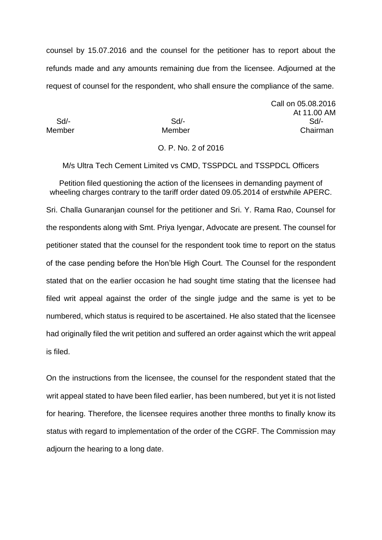counsel by 15.07.2016 and the counsel for the petitioner has to report about the refunds made and any amounts remaining due from the licensee. Adjourned at the request of counsel for the respondent, who shall ensure the compliance of the same.

Call on 05.08.2016 At 11.00 AM Sd/- Sd/- Sd/- Member Member Chairman

#### O. P. No. 2 of 2016

M/s Ultra Tech Cement Limited vs CMD, TSSPDCL and TSSPDCL Officers

Petition filed questioning the action of the licensees in demanding payment of wheeling charges contrary to the tariff order dated 09.05.2014 of erstwhile APERC. Sri. Challa Gunaranjan counsel for the petitioner and Sri. Y. Rama Rao, Counsel for the respondents along with Smt. Priya Iyengar, Advocate are present. The counsel for petitioner stated that the counsel for the respondent took time to report on the status of the case pending before the Hon'ble High Court. The Counsel for the respondent stated that on the earlier occasion he had sought time stating that the licensee had filed writ appeal against the order of the single judge and the same is yet to be numbered, which status is required to be ascertained. He also stated that the licensee had originally filed the writ petition and suffered an order against which the writ appeal is filed.

On the instructions from the licensee, the counsel for the respondent stated that the writ appeal stated to have been filed earlier, has been numbered, but yet it is not listed for hearing. Therefore, the licensee requires another three months to finally know its status with regard to implementation of the order of the CGRF. The Commission may adjourn the hearing to a long date.